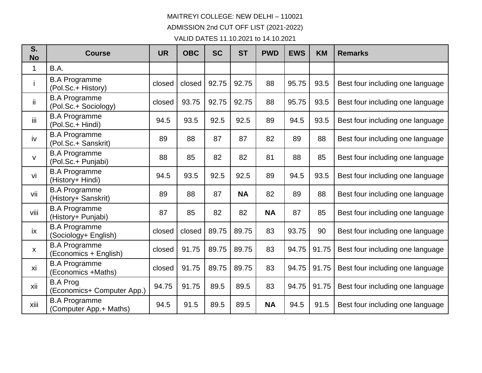## MAITREYI COLLEGE: NEW DELHI – 110021 ADMISSION 2nd CUT OFF LIST (2021-2022)

VALID DATES 11.10.2021 to 14.10.2021

| S.<br><b>No</b> | <b>Course</b>                                  | <b>UR</b> | <b>OBC</b> | <b>SC</b> | <b>ST</b> | <b>PWD</b> | <b>EWS</b> | <b>KM</b> | <b>Remarks</b>                   |
|-----------------|------------------------------------------------|-----------|------------|-----------|-----------|------------|------------|-----------|----------------------------------|
| 1               | B.A.                                           |           |            |           |           |            |            |           |                                  |
|                 | <b>B.A Programme</b><br>(Pol.Sc.+ History)     | closed    | closed     | 92.75     | 92.75     | 88         | 95.75      | 93.5      | Best four including one language |
| ii.             | <b>B.A Programme</b><br>(Pol.Sc.+ Sociology)   | closed    | 93.75      | 92.75     | 92.75     | 88         | 95.75      | 93.5      | Best four including one language |
| iij             | <b>B.A Programme</b><br>(Pol.Sc.+ Hindi)       | 94.5      | 93.5       | 92.5      | 92.5      | 89         | 94.5       | 93.5      | Best four including one language |
| iv              | <b>B.A Programme</b><br>(Pol.Sc.+ Sanskrit)    | 89        | 88         | 87        | 87        | 82         | 89         | 88        | Best four including one language |
| V               | <b>B.A Programme</b><br>(Pol.Sc.+ Punjabi)     | 88        | 85         | 82        | 82        | 81         | 88         | 85        | Best four including one language |
| vi              | <b>B.A Programme</b><br>(History+ Hindi)       | 94.5      | 93.5       | 92.5      | 92.5      | 89         | 94.5       | 93.5      | Best four including one language |
| vii             | <b>B.A Programme</b><br>(History+ Sanskrit)    | 89        | 88         | 87        | <b>NA</b> | 82         | 89         | 88        | Best four including one language |
| viii            | <b>B.A Programme</b><br>(History+ Punjabi)     | 87        | 85         | 82        | 82        | <b>NA</b>  | 87         | 85        | Best four including one language |
| ix              | <b>B.A Programme</b><br>(Sociology+ English)   | closed    | closed     | 89.75     | 89.75     | 83         | 93.75      | 90        | Best four including one language |
| X               | <b>B.A Programme</b><br>(Economics + English)  | closed    | 91.75      | 89.75     | 89.75     | 83         | 94.75      | 91.75     | Best four including one language |
| xi              | <b>B.A Programme</b><br>(Economics +Maths)     | closed    | 91.75      | 89.75     | 89.75     | 83         | 94.75      | 91.75     | Best four including one language |
| xii             | <b>B.A Prog</b><br>(Economics+ Computer App.)  | 94.75     | 91.75      | 89.5      | 89.5      | 83         | 94.75      | 91.75     | Best four including one language |
| xiii            | <b>B.A Programme</b><br>(Computer App.+ Maths) | 94.5      | 91.5       | 89.5      | 89.5      | <b>NA</b>  | 94.5       | 91.5      | Best four including one language |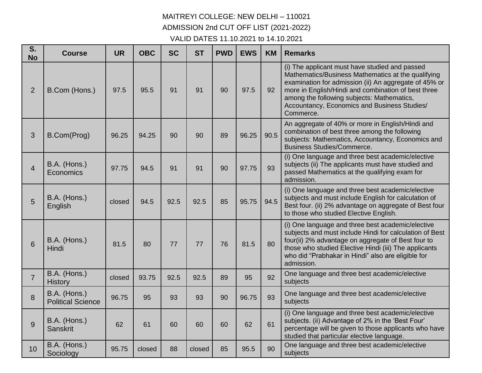## MAITREYI COLLEGE: NEW DELHI – 110021 ADMISSION 2nd CUT OFF LIST (2021-2022) VALID DATES 11.10.2021 to 14.10.2021

| S.<br><b>No</b> | <b>Course</b>                            | <b>UR</b> | <b>OBC</b> | <b>SC</b> | <b>ST</b> | <b>PWD</b> | <b>EWS</b> | <b>KM</b> | <b>Remarks</b>                                                                                                                                                                                                                                                                                                                  |
|-----------------|------------------------------------------|-----------|------------|-----------|-----------|------------|------------|-----------|---------------------------------------------------------------------------------------------------------------------------------------------------------------------------------------------------------------------------------------------------------------------------------------------------------------------------------|
| $\overline{2}$  | B.Com (Hons.)                            | 97.5      | 95.5       | 91        | 91        | 90         | 97.5       | 92        | (i) The applicant must have studied and passed<br>Mathematics/Business Mathematics at the qualifying<br>examination for admission (ii) An aggregate of 45% or<br>more in English/Hindi and combination of best three<br>among the following subjects: Mathematics,<br>Accountancy, Economics and Business Studies/<br>Commerce. |
| 3               | B.Com(Prog)                              | 96.25     | 94.25      | 90        | 90        | 89         | 96.25      | 90.5      | An aggregate of 40% or more in English/Hindi and<br>combination of best three among the following<br>subjects: Mathematics, Accountancy, Economics and<br><b>Business Studies/Commerce.</b>                                                                                                                                     |
| $\overline{4}$  | B.A. (Hons.)<br>Economics                | 97.75     | 94.5       | 91        | 91        | 90         | 97.75      | 93        | (i) One language and three best academic/elective<br>subjects (ii) The applicants must have studied and<br>passed Mathematics at the qualifying exam for<br>admission.                                                                                                                                                          |
| 5               | B.A. (Hons.)<br>English                  | closed    | 94.5       | 92.5      | 92.5      | 85         | 95.75      | 94.5      | (i) One language and three best academic/elective<br>subjects and must include English for calculation of<br>Best four. (ii) 2% advantage on aggregate of Best four<br>to those who studied Elective English.                                                                                                                   |
| 6               | B.A. (Hons.)<br><b>Hindi</b>             | 81.5      | 80         | 77        | 77        | 76         | 81.5       | 80        | (i) One language and three best academic/elective<br>subjects and must include Hindi for calculation of Best<br>four(ii) 2% advantage on aggregate of Best four to<br>those who studied Elective Hindi (iii) The applicants<br>who did "Prabhakar in Hindi" also are eligible for<br>admission.                                 |
| $\overline{7}$  | B.A. (Hons.)<br><b>History</b>           | closed    | 93.75      | 92.5      | 92.5      | 89         | 95         | 92        | One language and three best academic/elective<br>subjects                                                                                                                                                                                                                                                                       |
| 8               | B.A. (Hons.)<br><b>Political Science</b> | 96.75     | 95         | 93        | 93        | 90         | 96.75      | 93        | One language and three best academic/elective<br>subjects                                                                                                                                                                                                                                                                       |
| 9               | B.A. (Hons.)<br><b>Sanskrit</b>          | 62        | 61         | 60        | 60        | 60         | 62         | 61        | (i) One language and three best academic/elective<br>subjects. (ii) Advantage of 2% in the 'Best Four'<br>percentage will be given to those applicants who have<br>studied that particular elective language.                                                                                                                   |
| 10              | B.A. (Hons.)<br>Sociology                | 95.75     | closed     | 88        | closed    | 85         | 95.5       | 90        | One language and three best academic/elective<br>subjects                                                                                                                                                                                                                                                                       |